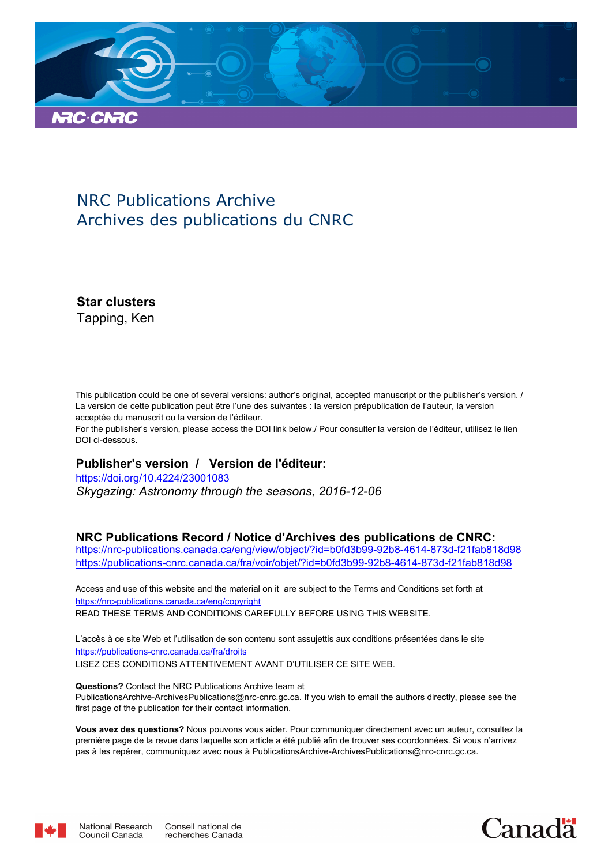

## NRC Publications Archive Archives des publications du CNRC

**Star clusters** Tapping, Ken

This publication could be one of several versions: author's original, accepted manuscript or the publisher's version. / La version de cette publication peut être l'une des suivantes : la version prépublication de l'auteur, la version acceptée du manuscrit ou la version de l'éditeur.

For the publisher's version, please access the DOI link below./ Pour consulter la version de l'éditeur, utilisez le lien DOI ci-dessous.

#### **Publisher's version / Version de l'éditeur:**

*Skygazing: Astronomy through the seasons, 2016-12-06* https://doi.org/10.4224/23001083

#### **NRC Publications Record / Notice d'Archives des publications de CNRC:**

https://nrc-publications.canada.ca/eng/view/object/?id=b0fd3b99-92b8-4614-873d-f21fab818d98 https://publications-cnrc.canada.ca/fra/voir/objet/?id=b0fd3b99-92b8-4614-873d-f21fab818d98

READ THESE TERMS AND CONDITIONS CAREFULLY BEFORE USING THIS WEBSITE. https://nrc-publications.canada.ca/eng/copyright Access and use of this website and the material on it are subject to the Terms and Conditions set forth at

https://publications-cnrc.canada.ca/fra/droits L'accès à ce site Web et l'utilisation de son contenu sont assujettis aux conditions présentées dans le site LISEZ CES CONDITIONS ATTENTIVEMENT AVANT D'UTILISER CE SITE WEB.

**Questions?** Contact the NRC Publications Archive team at PublicationsArchive-ArchivesPublications@nrc-cnrc.gc.ca. If you wish to email the authors directly, please see the first page of the publication for their contact information.

**Vous avez des questions?** Nous pouvons vous aider. Pour communiquer directement avec un auteur, consultez la première page de la revue dans laquelle son article a été publié afin de trouver ses coordonnées. Si vous n'arrivez pas à les repérer, communiquez avec nous à PublicationsArchive-ArchivesPublications@nrc-cnrc.gc.ca.